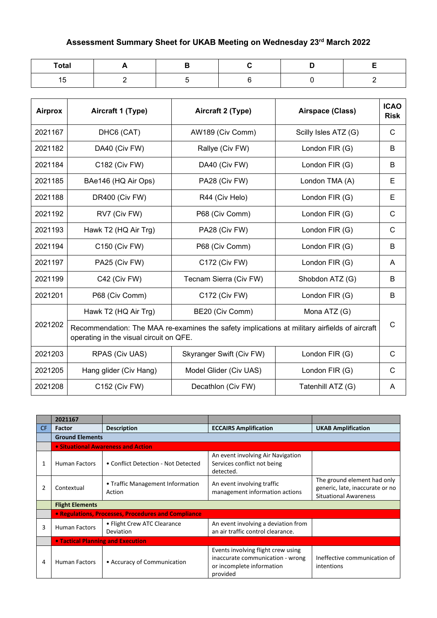## **Assessment Summary Sheet for UKAB Meeting on Wednesday 23rd March 2022**

| <b>Total</b>                |  |  |  |
|-----------------------------|--|--|--|
| . .<br>1 <sub>1</sub><br>ιv |  |  |  |

| <b>Airprox</b> | Aircraft 1 (Type)                                                                                                                        | Aircraft 2 (Type)        | Airspace (Class)     | <b>ICAO</b><br><b>Risk</b> |  |
|----------------|------------------------------------------------------------------------------------------------------------------------------------------|--------------------------|----------------------|----------------------------|--|
| 2021167        | DHC6 (CAT)                                                                                                                               | AW189 (Civ Comm)         | Scilly Isles ATZ (G) | C                          |  |
| 2021182        | DA40 (Civ FW)                                                                                                                            | Rallye (Civ FW)          | London FIR (G)       | B                          |  |
| 2021184        | C182 (Civ FW)                                                                                                                            | DA40 (Civ FW)            | London FIR (G)       | B                          |  |
| 2021185        | BAe146 (HQ Air Ops)                                                                                                                      | PA28 (Civ FW)            | London TMA (A)       | Е                          |  |
| 2021188        | DR400 (Civ FW)                                                                                                                           | R44 (Civ Helo)           | London FIR (G)       | E                          |  |
| 2021192        | RV7 (Civ FW)                                                                                                                             | P68 (Civ Comm)           | London FIR (G)       | $\mathsf{C}$               |  |
| 2021193        | Hawk T2 (HQ Air Trg)                                                                                                                     | PA28 (Civ FW)            | London FIR (G)       | $\mathsf{C}$               |  |
| 2021194        | C150 (Civ FW)                                                                                                                            | P68 (Civ Comm)           | London FIR (G)       | B                          |  |
| 2021197        | PA25 (Civ FW)                                                                                                                            | C172 (Civ FW)            | London FIR (G)       | A                          |  |
| 2021199        | C42 (Civ FW)                                                                                                                             | Tecnam Sierra (Civ FW)   | Shobdon ATZ (G)      | В                          |  |
| 2021201        | P68 (Civ Comm)                                                                                                                           | C172 (Civ FW)            | London FIR (G)       | В                          |  |
|                | Hawk T2 (HQ Air Trg)                                                                                                                     | BE20 (Civ Comm)          | Mona ATZ (G)         |                            |  |
| 2021202        | Recommendation: The MAA re-examines the safety implications at military airfields of aircraft<br>operating in the visual circuit on QFE. |                          |                      |                            |  |
| 2021203        | RPAS (Civ UAS)                                                                                                                           | Skyranger Swift (Civ FW) | London FIR (G)       | $\mathsf{C}$               |  |
| 2021205        | Hang glider (Civ Hang)                                                                                                                   | Model Glider (Civ UAS)   | London FIR (G)       | C                          |  |
| 2021208        | C152 (Civ FW)                                                                                                                            | Decathlon (Civ FW)       | Tatenhill ATZ (G)    | A                          |  |

|           | 2021167                                  |                                                     |                                                                                                                 |                                                                                                |  |
|-----------|------------------------------------------|-----------------------------------------------------|-----------------------------------------------------------------------------------------------------------------|------------------------------------------------------------------------------------------------|--|
| <b>CF</b> | <b>Factor</b>                            | <b>Description</b>                                  | <b>ECCAIRS Amplification</b>                                                                                    | <b>UKAB Amplification</b>                                                                      |  |
|           | <b>Ground Elements</b>                   |                                                     |                                                                                                                 |                                                                                                |  |
|           |                                          | <b>.</b> Situational Awareness and Action           |                                                                                                                 |                                                                                                |  |
| 1         | <b>Human Factors</b>                     | • Conflict Detection - Not Detected                 | An event involving Air Navigation<br>Services conflict not being<br>detected.                                   |                                                                                                |  |
|           | Contextual                               | • Traffic Management Information<br>Action          | An event involving traffic<br>management information actions                                                    | The ground element had only<br>generic, late, inaccurate or no<br><b>Situational Awareness</b> |  |
|           | <b>Flight Elements</b>                   |                                                     |                                                                                                                 |                                                                                                |  |
|           |                                          | • Regulations, Processes, Procedures and Compliance |                                                                                                                 |                                                                                                |  |
| 3         | <b>Human Factors</b>                     | • Flight Crew ATC Clearance<br>Deviation            | An event involving a deviation from<br>an air traffic control clearance.                                        |                                                                                                |  |
|           | <b>• Tactical Planning and Execution</b> |                                                     |                                                                                                                 |                                                                                                |  |
| 4         | <b>Human Factors</b>                     | • Accuracy of Communication                         | Events involving flight crew using<br>inaccurate communication - wrong<br>or incomplete information<br>provided | Ineffective communication of<br>intentions                                                     |  |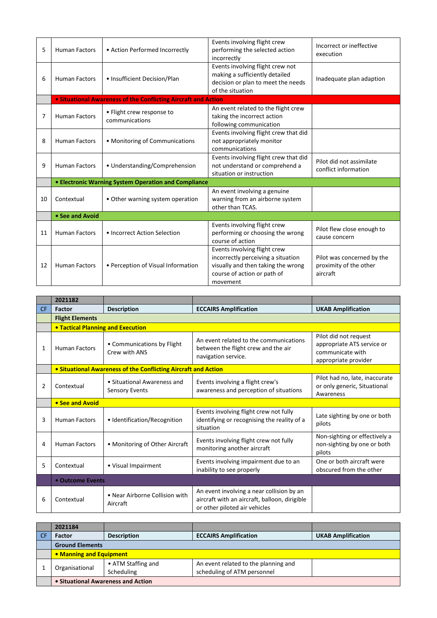| 5  | <b>Human Factors</b> | • Action Performed Incorrectly                                        | Events involving flight crew<br>performing the selected action<br>incorrectly                                                                       | Incorrect or ineffective<br>execution                            |
|----|----------------------|-----------------------------------------------------------------------|-----------------------------------------------------------------------------------------------------------------------------------------------------|------------------------------------------------------------------|
| 6  | <b>Human Factors</b> | • Insufficient Decision/Plan                                          | Events involving flight crew not<br>making a sufficiently detailed<br>decision or plan to meet the needs<br>of the situation                        | Inadequate plan adaption                                         |
|    |                      | <b>.</b> Situational Awareness of the Conflicting Aircraft and Action |                                                                                                                                                     |                                                                  |
| 7  | <b>Human Factors</b> | • Flight crew response to<br>communications                           | An event related to the flight crew<br>taking the incorrect action<br>following communication                                                       |                                                                  |
| 8  | <b>Human Factors</b> | • Monitoring of Communications                                        | Events involving flight crew that did<br>not appropriately monitor<br>communications                                                                |                                                                  |
| 9  | <b>Human Factors</b> | • Understanding/Comprehension                                         | Events involving flight crew that did<br>not understand or comprehend a<br>situation or instruction                                                 | Pilot did not assimilate<br>conflict information                 |
|    |                      | <b>• Electronic Warning System Operation and Compliance</b>           |                                                                                                                                                     |                                                                  |
| 10 | Contextual           | • Other warning system operation                                      | An event involving a genuine<br>warning from an airborne system<br>other than TCAS.                                                                 |                                                                  |
|    | • See and Avoid      |                                                                       |                                                                                                                                                     |                                                                  |
| 11 | <b>Human Factors</b> | • Incorrect Action Selection                                          | Events involving flight crew<br>performing or choosing the wrong<br>course of action                                                                | Pilot flew close enough to<br>cause concern                      |
| 12 | <b>Human Factors</b> | • Perception of Visual Information                                    | Events involving flight crew<br>incorrectly perceiving a situation<br>visually and then taking the wrong<br>course of action or path of<br>movement | Pilot was concerned by the<br>proximity of the other<br>aircraft |

|                | 2021182                                  |                                                                |                                                                                                                             |                                                                                                 |  |
|----------------|------------------------------------------|----------------------------------------------------------------|-----------------------------------------------------------------------------------------------------------------------------|-------------------------------------------------------------------------------------------------|--|
| <b>CF</b>      | <b>Factor</b>                            | <b>Description</b>                                             | <b>ECCAIRS Amplification</b>                                                                                                | <b>UKAB Amplification</b>                                                                       |  |
|                | <b>Flight Elements</b>                   |                                                                |                                                                                                                             |                                                                                                 |  |
|                | <b>. Tactical Planning and Execution</b> |                                                                |                                                                                                                             |                                                                                                 |  |
| 1              | <b>Human Factors</b>                     | • Communications by Flight<br>Crew with ANS                    | An event related to the communications<br>between the flight crew and the air<br>navigation service.                        | Pilot did not request<br>appropriate ATS service or<br>communicate with<br>appropriate provider |  |
|                |                                          | • Situational Awareness of the Conflicting Aircraft and Action |                                                                                                                             |                                                                                                 |  |
| $\overline{2}$ | Contextual                               | • Situational Awareness and<br><b>Sensory Events</b>           | Events involving a flight crew's<br>awareness and perception of situations                                                  | Pilot had no, late, inaccurate<br>or only generic, Situational<br>Awareness                     |  |
|                | • See and Avoid                          |                                                                |                                                                                                                             |                                                                                                 |  |
| 3              | <b>Human Factors</b>                     | • Identification/Recognition                                   | Events involving flight crew not fully<br>identifying or recognising the reality of a<br>situation                          | Late sighting by one or both<br>pilots                                                          |  |
| 4              | <b>Human Factors</b>                     | • Monitoring of Other Aircraft                                 | Events involving flight crew not fully<br>monitoring another aircraft                                                       | Non-sighting or effectively a<br>non-sighting by one or both<br>pilots                          |  |
| 5              | Contextual                               | • Visual Impairment                                            | Events involving impairment due to an<br>inability to see properly                                                          | One or both aircraft were<br>obscured from the other                                            |  |
|                | • Outcome Events                         |                                                                |                                                                                                                             |                                                                                                 |  |
| 6              | Contextual                               | • Near Airborne Collision with<br>Aircraft                     | An event involving a near collision by an<br>aircraft with an aircraft, balloon, dirigible<br>or other piloted air vehicles |                                                                                                 |  |

|      | 2021184                            |                                  |                                                                     |                           |
|------|------------------------------------|----------------------------------|---------------------------------------------------------------------|---------------------------|
| ∥ CF | <b>Factor</b>                      | <b>Description</b>               | <b>ECCAIRS Amplification</b>                                        | <b>UKAB Amplification</b> |
|      | <b>Ground Elements</b>             |                                  |                                                                     |                           |
|      | • Manning and Equipment            |                                  |                                                                     |                           |
|      | Organisational                     | • ATM Staffing and<br>Scheduling | An event related to the planning and<br>scheduling of ATM personnel |                           |
|      | • Situational Awareness and Action |                                  |                                                                     |                           |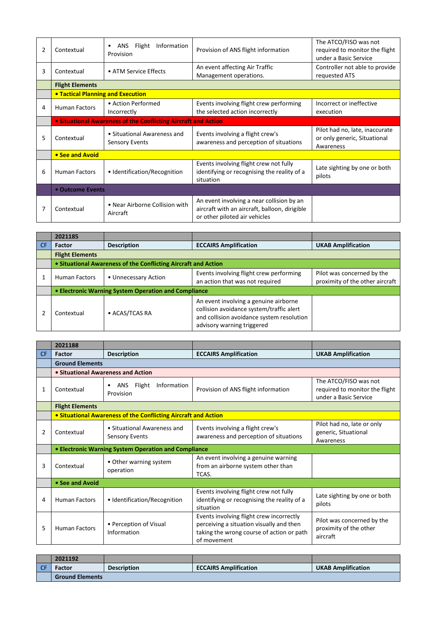| $\overline{2}$ | Contextual                                                     | Information<br><b>ANS</b><br>Flight<br>Provision     | Provision of ANS flight information                                                                                         | The ATCO/FISO was not<br>required to monitor the flight<br>under a Basic Service |  |
|----------------|----------------------------------------------------------------|------------------------------------------------------|-----------------------------------------------------------------------------------------------------------------------------|----------------------------------------------------------------------------------|--|
| 3              | Contextual                                                     | • ATM Service Effects                                | An event affecting Air Traffic<br>Management operations.                                                                    | Controller not able to provide<br>requested ATS                                  |  |
|                | <b>Flight Elements</b>                                         |                                                      |                                                                                                                             |                                                                                  |  |
|                | <b>• Tactical Planning and Execution</b>                       |                                                      |                                                                                                                             |                                                                                  |  |
| 4              | <b>Human Factors</b>                                           | • Action Performed<br>Incorrectly                    | Events involving flight crew performing<br>the selected action incorrectly                                                  | Incorrect or ineffective<br>execution                                            |  |
|                | • Situational Awareness of the Conflicting Aircraft and Action |                                                      |                                                                                                                             |                                                                                  |  |
| 5              | Contextual                                                     | • Situational Awareness and<br><b>Sensory Events</b> | Events involving a flight crew's<br>awareness and perception of situations                                                  | Pilot had no, late, inaccurate<br>or only generic, Situational<br>Awareness      |  |
|                | • See and Avoid                                                |                                                      |                                                                                                                             |                                                                                  |  |
| 6              | <b>Human Factors</b>                                           | • Identification/Recognition                         | Events involving flight crew not fully<br>identifying or recognising the reality of a<br>situation                          | Late sighting by one or both<br>pilots                                           |  |
|                | • Outcome Events                                               |                                                      |                                                                                                                             |                                                                                  |  |
|                | Contextual                                                     | • Near Airborne Collision with<br>Aircraft           | An event involving a near collision by an<br>aircraft with an aircraft, balloon, dirigible<br>or other piloted air vehicles |                                                                                  |  |

|    | 2021185                                                        |                      |                                                                                                                                                              |                                                               |
|----|----------------------------------------------------------------|----------------------|--------------------------------------------------------------------------------------------------------------------------------------------------------------|---------------------------------------------------------------|
| CF | <b>Factor</b>                                                  | <b>Description</b>   | <b>ECCAIRS Amplification</b>                                                                                                                                 | <b>UKAB Amplification</b>                                     |
|    | <b>Flight Elements</b>                                         |                      |                                                                                                                                                              |                                                               |
|    | • Situational Awareness of the Conflicting Aircraft and Action |                      |                                                                                                                                                              |                                                               |
|    | <b>Human Factors</b>                                           | • Unnecessary Action | Events involving flight crew performing<br>an action that was not required                                                                                   | Pilot was concerned by the<br>proximity of the other aircraft |
|    | • Electronic Warning System Operation and Compliance           |                      |                                                                                                                                                              |                                                               |
|    | Contextual                                                     | • ACAS/TCAS RA       | An event involving a genuine airborne<br>collision avoidance system/traffic alert<br>and collision avoidance system resolution<br>advisory warning triggered |                                                               |

|           | 2021188                |                                                                |                                                                                                                                                  |                                                                                  |
|-----------|------------------------|----------------------------------------------------------------|--------------------------------------------------------------------------------------------------------------------------------------------------|----------------------------------------------------------------------------------|
| <b>CF</b> | Factor                 | <b>Description</b>                                             | <b>ECCAIRS Amplification</b>                                                                                                                     | <b>UKAB Amplification</b>                                                        |
|           | <b>Ground Elements</b> |                                                                |                                                                                                                                                  |                                                                                  |
|           |                        | • Situational Awareness and Action                             |                                                                                                                                                  |                                                                                  |
| 1         | Contextual             | Flight<br>Information<br><b>ANS</b><br>Provision               | Provision of ANS flight information                                                                                                              | The ATCO/FISO was not<br>required to monitor the flight<br>under a Basic Service |
|           | <b>Flight Elements</b> |                                                                |                                                                                                                                                  |                                                                                  |
|           |                        | • Situational Awareness of the Conflicting Aircraft and Action |                                                                                                                                                  |                                                                                  |
| 2         | Contextual             | • Situational Awareness and<br><b>Sensory Events</b>           | Events involving a flight crew's<br>awareness and perception of situations                                                                       | Pilot had no, late or only<br>generic, Situational<br>Awareness                  |
|           |                        | • Electronic Warning System Operation and Compliance           |                                                                                                                                                  |                                                                                  |
| 3         | Contextual             | • Other warning system<br>operation                            | An event involving a genuine warning<br>from an airborne system other than<br>TCAS.                                                              |                                                                                  |
|           | • See and Avoid        |                                                                |                                                                                                                                                  |                                                                                  |
| 4         | <b>Human Factors</b>   | • Identification/Recognition                                   | Events involving flight crew not fully<br>identifying or recognising the reality of a<br>situation                                               | Late sighting by one or both<br>pilots                                           |
| 5         | <b>Human Factors</b>   | • Perception of Visual<br>Information                          | Events involving flight crew incorrectly<br>perceiving a situation visually and then<br>taking the wrong course of action or path<br>of movement | Pilot was concerned by the<br>proximity of the other<br>aircraft                 |

|      | 2021192                |                    |                              |                           |  |
|------|------------------------|--------------------|------------------------------|---------------------------|--|
| I CF | Factor                 | <b>Description</b> | <b>ECCAIRS Amplification</b> | <b>UKAB Amplification</b> |  |
|      | <b>Ground Elements</b> |                    |                              |                           |  |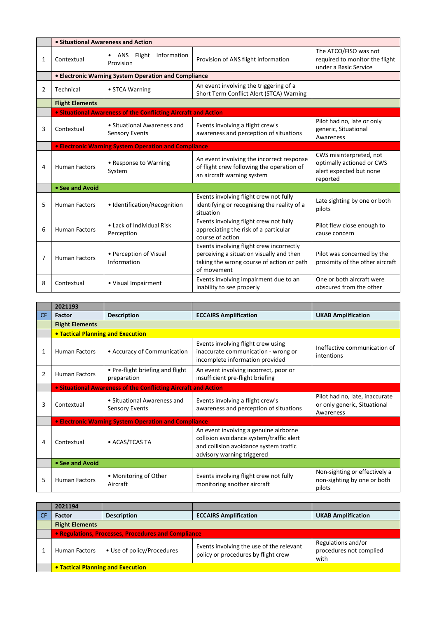|   | • Situational Awareness and Action |                                                                       |                                                                                                                                                  |                                                                                             |  |
|---|------------------------------------|-----------------------------------------------------------------------|--------------------------------------------------------------------------------------------------------------------------------------------------|---------------------------------------------------------------------------------------------|--|
| 1 | Contextual                         | Information<br>• ANS Flight<br>Provision                              | Provision of ANS flight information                                                                                                              | The ATCO/FISO was not<br>required to monitor the flight<br>under a Basic Service            |  |
|   |                                    | • Electronic Warning System Operation and Compliance                  |                                                                                                                                                  |                                                                                             |  |
| 2 | Technical                          | • STCA Warning                                                        | An event involving the triggering of a<br>Short Term Conflict Alert (STCA) Warning                                                               |                                                                                             |  |
|   | <b>Flight Elements</b>             |                                                                       |                                                                                                                                                  |                                                                                             |  |
|   |                                    | <b>. Situational Awareness of the Conflicting Aircraft and Action</b> |                                                                                                                                                  |                                                                                             |  |
| 3 | Contextual                         | • Situational Awareness and<br><b>Sensory Events</b>                  | Events involving a flight crew's<br>awareness and perception of situations                                                                       | Pilot had no, late or only<br>generic, Situational<br>Awareness                             |  |
|   |                                    | <b>• Electronic Warning System Operation and Compliance</b>           |                                                                                                                                                  |                                                                                             |  |
| 4 | <b>Human Factors</b>               | • Response to Warning<br>System                                       | An event involving the incorrect response<br>of flight crew following the operation of<br>an aircraft warning system                             | CWS misinterpreted, not<br>optimally actioned or CWS<br>alert expected but none<br>reported |  |
|   | • See and Avoid                    |                                                                       |                                                                                                                                                  |                                                                                             |  |
| 5 | <b>Human Factors</b>               | • Identification/Recognition                                          | Events involving flight crew not fully<br>identifying or recognising the reality of a<br>situation                                               | Late sighting by one or both<br>pilots                                                      |  |
| 6 | <b>Human Factors</b>               | • Lack of Individual Risk<br>Perception                               | Events involving flight crew not fully<br>appreciating the risk of a particular<br>course of action                                              | Pilot flew close enough to<br>cause concern                                                 |  |
| 7 | <b>Human Factors</b>               | • Perception of Visual<br>Information                                 | Events involving flight crew incorrectly<br>perceiving a situation visually and then<br>taking the wrong course of action or path<br>of movement | Pilot was concerned by the<br>proximity of the other aircraft                               |  |
| 8 | Contextual                         | • Visual Impairment                                                   | Events involving impairment due to an<br>inability to see properly                                                                               | One or both aircraft were<br>obscured from the other                                        |  |

|                | 2021193                                  |                                                                |                                                                                                                                                           |                                                                             |
|----------------|------------------------------------------|----------------------------------------------------------------|-----------------------------------------------------------------------------------------------------------------------------------------------------------|-----------------------------------------------------------------------------|
| <b>CF</b>      | <b>Factor</b>                            | <b>Description</b>                                             | <b>ECCAIRS Amplification</b>                                                                                                                              | <b>UKAB Amplification</b>                                                   |
|                | <b>Flight Elements</b>                   |                                                                |                                                                                                                                                           |                                                                             |
|                | <b>• Tactical Planning and Execution</b> |                                                                |                                                                                                                                                           |                                                                             |
| 1              | <b>Human Factors</b>                     | • Accuracy of Communication                                    | Events involving flight crew using<br>inaccurate communication - wrong or<br>incomplete information provided                                              | Ineffective communication of<br>intentions                                  |
| $\overline{2}$ | <b>Human Factors</b>                     | • Pre-flight briefing and flight<br>preparation                | An event involving incorrect, poor or<br>insufficient pre-flight briefing                                                                                 |                                                                             |
|                |                                          | • Situational Awareness of the Conflicting Aircraft and Action |                                                                                                                                                           |                                                                             |
| 3              | Contextual                               | • Situational Awareness and<br><b>Sensory Events</b>           | Events involving a flight crew's<br>awareness and perception of situations                                                                                | Pilot had no, late, inaccurate<br>or only generic, Situational<br>Awareness |
|                |                                          | <b>• Electronic Warning System Operation and Compliance</b>    |                                                                                                                                                           |                                                                             |
| 4              | Contextual                               | • ACAS/TCAS TA                                                 | An event involving a genuine airborne<br>collision avoidance system/traffic alert<br>and collision avoidance system traffic<br>advisory warning triggered |                                                                             |
|                | • See and Avoid                          |                                                                |                                                                                                                                                           |                                                                             |
| 5              | <b>Human Factors</b>                     | • Monitoring of Other<br>Aircraft                              | Events involving flight crew not fully<br>monitoring another aircraft                                                                                     | Non-sighting or effectively a<br>non-sighting by one or both<br>pilots      |

| 2021194                                             |                            |                                                                                 |                                                       |  |
|-----------------------------------------------------|----------------------------|---------------------------------------------------------------------------------|-------------------------------------------------------|--|
| <b>Factor</b>                                       | <b>Description</b>         | <b>ECCAIRS Amplification</b>                                                    | <b>UKAB Amplification</b>                             |  |
| <b>Flight Elements</b>                              |                            |                                                                                 |                                                       |  |
| • Regulations, Processes, Procedures and Compliance |                            |                                                                                 |                                                       |  |
| <b>Human Factors</b>                                | • Use of policy/Procedures | Events involving the use of the relevant<br>policy or procedures by flight crew | Regulations and/or<br>procedures not complied<br>with |  |
| • Tactical Planning and Execution                   |                            |                                                                                 |                                                       |  |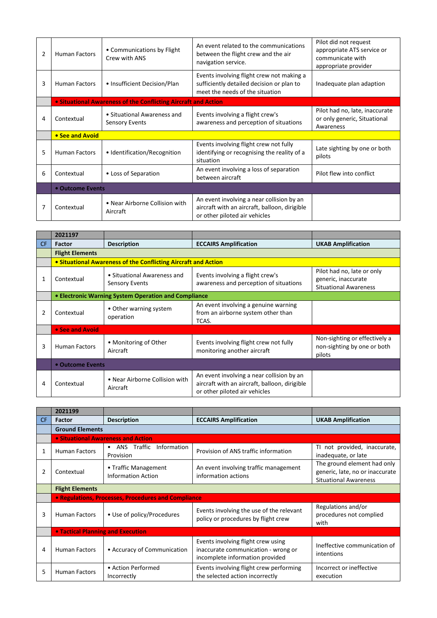| 2 | <b>Human Factors</b> | • Communications by Flight<br>Crew with ANS                    | An event related to the communications<br>between the flight crew and the air<br>navigation service.                        | Pilot did not request<br>appropriate ATS service or<br>communicate with<br>appropriate provider |
|---|----------------------|----------------------------------------------------------------|-----------------------------------------------------------------------------------------------------------------------------|-------------------------------------------------------------------------------------------------|
| 3 | <b>Human Factors</b> | • Insufficient Decision/Plan                                   | Events involving flight crew not making a<br>sufficiently detailed decision or plan to<br>meet the needs of the situation   | Inadequate plan adaption                                                                        |
|   |                      | • Situational Awareness of the Conflicting Aircraft and Action |                                                                                                                             |                                                                                                 |
| 4 | Contextual           | • Situational Awareness and<br><b>Sensory Events</b>           | Events involving a flight crew's<br>awareness and perception of situations                                                  | Pilot had no, late, inaccurate<br>or only generic, Situational<br>Awareness                     |
|   | • See and Avoid      |                                                                |                                                                                                                             |                                                                                                 |
| 5 | <b>Human Factors</b> | • Identification/Recognition                                   | Events involving flight crew not fully<br>identifying or recognising the reality of a<br>situation                          | Late sighting by one or both<br>pilots                                                          |
| 6 | Contextual           | • Loss of Separation                                           | An event involving a loss of separation<br>between aircraft                                                                 | Pilot flew into conflict                                                                        |
|   | • Outcome Events     |                                                                |                                                                                                                             |                                                                                                 |
|   | Contextual           | • Near Airborne Collision with<br>Aircraft                     | An event involving a near collision by an<br>aircraft with an aircraft, balloon, dirigible<br>or other piloted air vehicles |                                                                                                 |

|     | 2021197                |                                                                |                                                                                                                             |                                                                                   |
|-----|------------------------|----------------------------------------------------------------|-----------------------------------------------------------------------------------------------------------------------------|-----------------------------------------------------------------------------------|
| CF. | <b>Factor</b>          | <b>Description</b>                                             | <b>ECCAIRS Amplification</b>                                                                                                | <b>UKAB Amplification</b>                                                         |
|     | <b>Flight Elements</b> |                                                                |                                                                                                                             |                                                                                   |
|     |                        | • Situational Awareness of the Conflicting Aircraft and Action |                                                                                                                             |                                                                                   |
| 1   | Contextual             | • Situational Awareness and<br>Sensory Events                  | Events involving a flight crew's<br>awareness and perception of situations                                                  | Pilot had no, late or only<br>generic, inaccurate<br><b>Situational Awareness</b> |
|     |                        | <b>• Electronic Warning System Operation and Compliance</b>    |                                                                                                                             |                                                                                   |
|     | Contextual             | • Other warning system<br>operation                            | An event involving a genuine warning<br>from an airborne system other than<br>TCAS.                                         |                                                                                   |
|     | • See and Avoid        |                                                                |                                                                                                                             |                                                                                   |
| 3   | <b>Human Factors</b>   | • Monitoring of Other<br>Aircraft                              | Events involving flight crew not fully<br>monitoring another aircraft                                                       | Non-sighting or effectively a<br>non-sighting by one or both<br>pilots            |
|     | • Outcome Events       |                                                                |                                                                                                                             |                                                                                   |
| 4   | Contextual             | • Near Airborne Collision with<br>Aircraft                     | An event involving a near collision by an<br>aircraft with an aircraft, balloon, dirigible<br>or other piloted air vehicles |                                                                                   |

|           | 2021199                                  |                                                     |                                                                                                              |                                                                                                |  |
|-----------|------------------------------------------|-----------------------------------------------------|--------------------------------------------------------------------------------------------------------------|------------------------------------------------------------------------------------------------|--|
| <b>CF</b> | <b>Factor</b>                            | <b>Description</b>                                  | <b>ECCAIRS Amplification</b>                                                                                 | <b>UKAB Amplification</b>                                                                      |  |
|           | <b>Ground Elements</b>                   |                                                     |                                                                                                              |                                                                                                |  |
|           |                                          | <b>.</b> Situational Awareness and Action           |                                                                                                              |                                                                                                |  |
|           | <b>Human Factors</b>                     | Information<br>• ANS Traffic<br>Provision           | Provision of ANS traffic information                                                                         | TI not provided, inaccurate,<br>inadequate, or late                                            |  |
| 2         | Contextual                               | • Traffic Management<br><b>Information Action</b>   | An event involving traffic management<br>information actions                                                 | The ground element had only<br>generic, late, no or inaccurate<br><b>Situational Awareness</b> |  |
|           | <b>Flight Elements</b>                   |                                                     |                                                                                                              |                                                                                                |  |
|           |                                          | • Regulations, Processes, Procedures and Compliance |                                                                                                              |                                                                                                |  |
| 3         | <b>Human Factors</b>                     | • Use of policy/Procedures                          | Events involving the use of the relevant<br>policy or procedures by flight crew                              | Regulations and/or<br>procedures not complied<br>with                                          |  |
|           | <b>• Tactical Planning and Execution</b> |                                                     |                                                                                                              |                                                                                                |  |
| 4         | <b>Human Factors</b>                     | • Accuracy of Communication                         | Events involving flight crew using<br>inaccurate communication - wrong or<br>incomplete information provided | Ineffective communication of<br>intentions                                                     |  |
| 5         | <b>Human Factors</b>                     | • Action Performed<br>Incorrectly                   | Events involving flight crew performing<br>the selected action incorrectly                                   | Incorrect or ineffective<br>execution                                                          |  |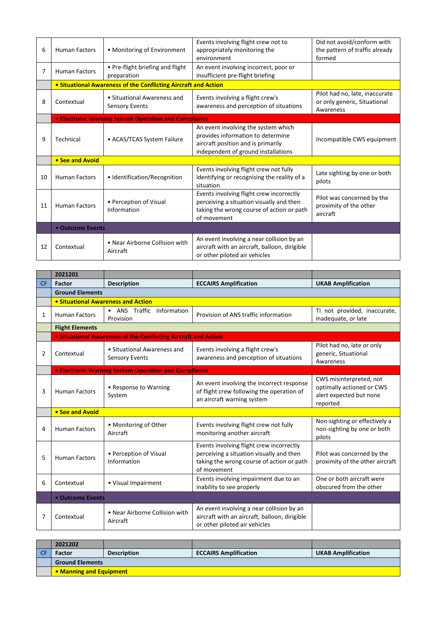| 6  | <b>Human Factors</b> | • Monitoring of Environment                                    | Events involving flight crew not to<br>appropriately monitoring the<br>environment                                                                    | Did not avoid/conform with<br>the pattern of traffic already<br>formed      |
|----|----------------------|----------------------------------------------------------------|-------------------------------------------------------------------------------------------------------------------------------------------------------|-----------------------------------------------------------------------------|
| 7  | <b>Human Factors</b> | • Pre-flight briefing and flight<br>preparation                | An event involving incorrect, poor or<br>insufficient pre-flight briefing                                                                             |                                                                             |
|    |                      | • Situational Awareness of the Conflicting Aircraft and Action |                                                                                                                                                       |                                                                             |
| 8  | Contextual           | • Situational Awareness and<br><b>Sensory Events</b>           | Events involving a flight crew's<br>awareness and perception of situations                                                                            | Pilot had no, late, inaccurate<br>or only generic, Situational<br>Awareness |
|    |                      | <b>• Electronic Warning System Operation and Compliance</b>    |                                                                                                                                                       |                                                                             |
| 9  | Technical            | • ACAS/TCAS System Failure                                     | An event involving the system which<br>provides information to determine<br>aircraft position and is primarily<br>independent of ground installations | Incompatible CWS equipment                                                  |
|    | • See and Avoid      |                                                                |                                                                                                                                                       |                                                                             |
| 10 | <b>Human Factors</b> | • Identification/Recognition                                   | Events involving flight crew not fully<br>identifying or recognising the reality of a<br>situation                                                    | Late sighting by one or both<br>pilots                                      |
| 11 | <b>Human Factors</b> | • Perception of Visual<br>Information                          | Events involving flight crew incorrectly<br>perceiving a situation visually and then<br>taking the wrong course of action or path<br>of movement      | Pilot was concerned by the<br>proximity of the other<br>aircraft            |
|    | • Outcome Events     |                                                                |                                                                                                                                                       |                                                                             |
| 12 | Contextual           | • Near Airborne Collision with<br>Aircraft                     | An event involving a near collision by an<br>aircraft with an aircraft, balloon, dirigible<br>or other piloted air vehicles                           |                                                                             |

|           | 2021201                            |                                                                |                                                                                                                                                  |                                                                                             |  |
|-----------|------------------------------------|----------------------------------------------------------------|--------------------------------------------------------------------------------------------------------------------------------------------------|---------------------------------------------------------------------------------------------|--|
| <b>CF</b> | <b>Factor</b>                      | <b>Description</b>                                             | <b>ECCAIRS Amplification</b>                                                                                                                     | <b>UKAB Amplification</b>                                                                   |  |
|           | <b>Ground Elements</b>             |                                                                |                                                                                                                                                  |                                                                                             |  |
|           | • Situational Awareness and Action |                                                                |                                                                                                                                                  |                                                                                             |  |
| 1         | <b>Human Factors</b>               | • ANS Traffic<br>Information<br>Provision                      | Provision of ANS traffic information                                                                                                             | TI not provided, inaccurate,<br>inadequate, or late                                         |  |
|           | <b>Flight Elements</b>             |                                                                |                                                                                                                                                  |                                                                                             |  |
|           |                                    | • Situational Awareness of the Conflicting Aircraft and Action |                                                                                                                                                  |                                                                                             |  |
| 2         | Contextual                         | • Situational Awareness and<br><b>Sensory Events</b>           | Events involving a flight crew's<br>awareness and perception of situations                                                                       | Pilot had no, late or only<br>generic, Situational<br>Awareness                             |  |
|           |                                    | • Electronic Warning System Operation and Compliance           |                                                                                                                                                  |                                                                                             |  |
| 3         | <b>Human Factors</b>               | • Response to Warning<br>System                                | An event involving the incorrect response<br>of flight crew following the operation of<br>an aircraft warning system                             | CWS misinterpreted, not<br>optimally actioned or CWS<br>alert expected but none<br>reported |  |
|           | • See and Avoid                    |                                                                |                                                                                                                                                  |                                                                                             |  |
| 4         | <b>Human Factors</b>               | • Monitoring of Other<br>Aircraft                              | Events involving flight crew not fully<br>monitoring another aircraft                                                                            | Non-sighting or effectively a<br>non-sighting by one or both<br>pilots                      |  |
| 5         | <b>Human Factors</b>               | • Perception of Visual<br>Information                          | Events involving flight crew incorrectly<br>perceiving a situation visually and then<br>taking the wrong course of action or path<br>of movement | Pilot was concerned by the<br>proximity of the other aircraft                               |  |
| 6         | Contextual                         | • Visual Impairment                                            | Events involving impairment due to an<br>inability to see properly                                                                               | One or both aircraft were<br>obscured from the other                                        |  |
|           | • Outcome Events                   |                                                                |                                                                                                                                                  |                                                                                             |  |
| 7         | Contextual                         | • Near Airborne Collision with<br>Aircraft                     | An event involving a near collision by an<br>aircraft with an aircraft, balloon, dirigible<br>or other piloted air vehicles                      |                                                                                             |  |

| 2021202                 |                    |                              |                           |  |
|-------------------------|--------------------|------------------------------|---------------------------|--|
| Factor                  | <b>Description</b> | <b>ECCAIRS Amplification</b> | <b>UKAB Amplification</b> |  |
| <b>Ground Elements</b>  |                    |                              |                           |  |
| • Manning and Equipment |                    |                              |                           |  |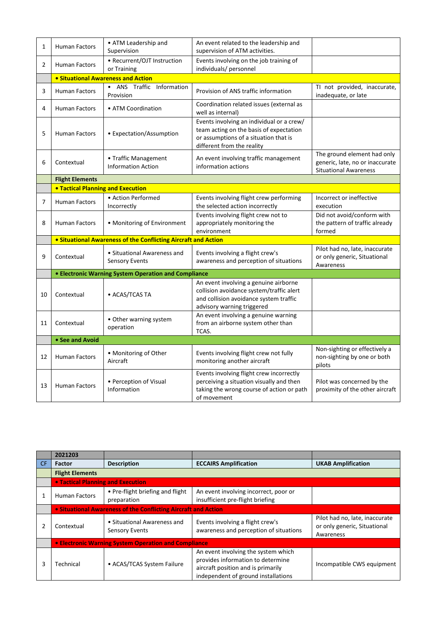| $\mathbf{1}$   | <b>Human Factors</b>                     | • ATM Leadership and<br>Supervision                                   | An event related to the leadership and<br>supervision of ATM activities.                                                                                    |                                                                                                |
|----------------|------------------------------------------|-----------------------------------------------------------------------|-------------------------------------------------------------------------------------------------------------------------------------------------------------|------------------------------------------------------------------------------------------------|
| $\overline{2}$ | <b>Human Factors</b>                     | • Recurrent/OJT Instruction<br>or Training                            | Events involving on the job training of<br>individuals/ personnel                                                                                           |                                                                                                |
|                |                                          | <b>• Situational Awareness and Action</b>                             |                                                                                                                                                             |                                                                                                |
| 3              | <b>Human Factors</b>                     | • ANS Traffic Information<br>Provision                                | Provision of ANS traffic information                                                                                                                        | TI not provided, inaccurate,<br>inadequate, or late                                            |
| 4              | <b>Human Factors</b>                     | • ATM Coordination                                                    | Coordination related issues (external as<br>well as internal)                                                                                               |                                                                                                |
| 5              | <b>Human Factors</b>                     | • Expectation/Assumption                                              | Events involving an individual or a crew/<br>team acting on the basis of expectation<br>or assumptions of a situation that is<br>different from the reality |                                                                                                |
| 6              | Contextual                               | • Traffic Management<br><b>Information Action</b>                     | An event involving traffic management<br>information actions                                                                                                | The ground element had only<br>generic, late, no or inaccurate<br><b>Situational Awareness</b> |
|                | <b>Flight Elements</b>                   |                                                                       |                                                                                                                                                             |                                                                                                |
|                | <b>• Tactical Planning and Execution</b> |                                                                       |                                                                                                                                                             |                                                                                                |
| 7              | <b>Human Factors</b>                     | • Action Performed<br>Incorrectly                                     | Events involving flight crew performing<br>the selected action incorrectly                                                                                  | Incorrect or ineffective<br>execution                                                          |
| 8              | <b>Human Factors</b>                     | • Monitoring of Environment                                           | Events involving flight crew not to<br>appropriately monitoring the<br>environment                                                                          | Did not avoid/conform with<br>the pattern of traffic already<br>formed                         |
|                |                                          | <b>• Situational Awareness of the Conflicting Aircraft and Action</b> |                                                                                                                                                             |                                                                                                |
| 9              | Contextual                               | • Situational Awareness and<br><b>Sensory Events</b>                  | Events involving a flight crew's<br>awareness and perception of situations                                                                                  | Pilot had no, late, inaccurate<br>or only generic, Situational<br>Awareness                    |
|                |                                          | <b>• Electronic Warning System Operation and Compliance</b>           |                                                                                                                                                             |                                                                                                |
| 10             | Contextual                               | • ACAS/TCAS TA                                                        | An event involving a genuine airborne<br>collision avoidance system/traffic alert<br>and collision avoidance system traffic<br>advisory warning triggered   |                                                                                                |
| 11             | Contextual                               | • Other warning system<br>operation                                   | An event involving a genuine warning<br>from an airborne system other than<br>TCAS.                                                                         |                                                                                                |
|                | • See and Avoid                          |                                                                       |                                                                                                                                                             |                                                                                                |
| 12             | <b>Human Factors</b>                     | • Monitoring of Other<br>Aircraft                                     | Events involving flight crew not fully<br>monitoring another aircraft                                                                                       | Non-sighting or effectively a<br>non-sighting by one or both<br>pilots                         |
| 13             | <b>Human Factors</b>                     | • Perception of Visual<br>Information                                 | Events involving flight crew incorrectly<br>perceiving a situation visually and then<br>taking the wrong course of action or path<br>of movement            | Pilot was concerned by the<br>proximity of the other aircraft                                  |

|     | 2021203                           |                                                                |                                                                                                                                                       |                                                                             |
|-----|-----------------------------------|----------------------------------------------------------------|-------------------------------------------------------------------------------------------------------------------------------------------------------|-----------------------------------------------------------------------------|
| CF. | <b>Factor</b>                     | <b>Description</b>                                             | <b>ECCAIRS Amplification</b>                                                                                                                          | <b>UKAB Amplification</b>                                                   |
|     | <b>Flight Elements</b>            |                                                                |                                                                                                                                                       |                                                                             |
|     | • Tactical Planning and Execution |                                                                |                                                                                                                                                       |                                                                             |
|     | <b>Human Factors</b>              | • Pre-flight briefing and flight<br>preparation                | An event involving incorrect, poor or<br>insufficient pre-flight briefing                                                                             |                                                                             |
|     |                                   | • Situational Awareness of the Conflicting Aircraft and Action |                                                                                                                                                       |                                                                             |
|     | Contextual                        | • Situational Awareness and<br><b>Sensory Events</b>           | Events involving a flight crew's<br>awareness and perception of situations                                                                            | Pilot had no, late, inaccurate<br>or only generic, Situational<br>Awareness |
|     |                                   | <b>• Electronic Warning System Operation and Compliance</b>    |                                                                                                                                                       |                                                                             |
| 3   | Technical                         | • ACAS/TCAS System Failure                                     | An event involving the system which<br>provides information to determine<br>aircraft position and is primarily<br>independent of ground installations | Incompatible CWS equipment                                                  |